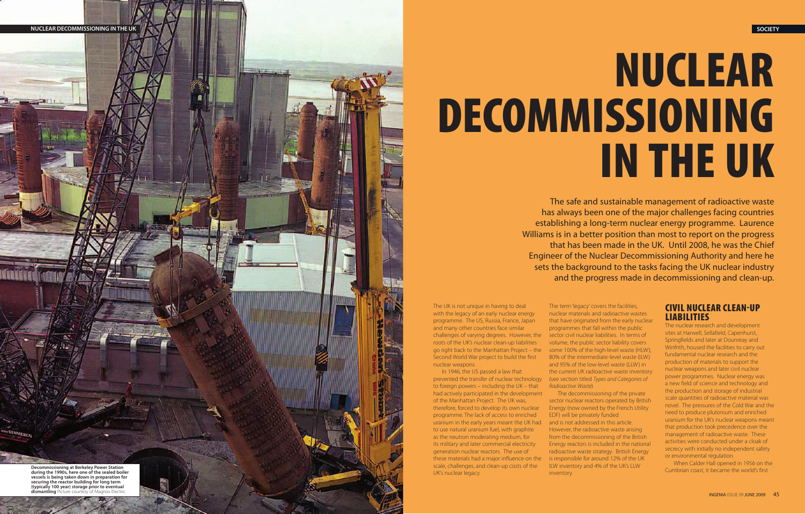# **NUCLEAR DECOMMISSIONING IN THE UK**

The safe and sustainable management of radioactive waste has always been one of the major challenges facing countries establishing a long-term nuclear energy programme. Laurence Williams is in a better position than most to report on the progress that has been made in the UK. Until 2008, he was the Chief Engineer of the Nuclear Decommissioning Authority and here he sets the background to the tasks facing the UK nuclear industry and the progress made in decommissioning and clean-up.

The UK is not unique in having to deal with the legacy of an early nuclear energy programme. The US, Russia, France, Japan and many other countries face similar challenges of varying degrees. However, the roots of the UK's nuclear clean-up liabilities go right back to the Manhattan Project – the some 100% of the high-level waste (HLW), Second World War project to build the first nuclear weapons.

In 1946, the US passed a law that prevented the transfer of nuclear technology (see section titled Types and Categories of to foreign powers – including the UK – that had actively participated in the development of the Manhattan Project. The UK was, therefore, forced to develop its own nuclear programme. The lack of access to enriched uranium in the early years meant the UK had and is not addressed in this article. to use natural uranium fuel, with graphite as the neutron moderating medium, for its military and later commercial electricity generation nuclear reactors. The use of these materials had a major influence on the scale, challenges, and clean-up costs of the UK's nuclear legacy.

# **CIVIL NUCLEAR CLEAN-UP LIABILITIES**

The term 'legacy' covers the facilities, nuclear materials and radioactive wastes that have originated from the early nuclear programmes that fall within the public sector civil nuclear liabilities. In terms of volume, the public sector liability covers 80% of the intermediate-level waste (ILW) and 95% of the low-level waste (LLW) in the current UK radioactive waste inventory Radioactive Waste).



The decommissioning of the private sector nuclear reactors operated by British Energy (now owned by the French Utility EDF) will be privately funded However, the radioactive waste arising from the decommissioning of the British Energy reactors is included in the national radioactive waste strategy. British Energy is responsible for around 12% of the UK ILW inventory and 4% of the UK's LLW inventory.

The nuclear research and development sites at Harwell, Sellafield, Capenhurst, Springfields and later at Dounreay and Winfrith, housed the facilities to carry out fundamental nuclear research and the production of materials to support the nuclear weapons and later civil nuclear power programmes. Nuclear energy was a new field of science and technology and the production and storage of industrial scale quantities of radioactive material was novel. The pressures of the Cold War and the need to produce plutonium and enriched uranium for the UK's nuclear weapons meant that production took precedence over the management of radioactive waste. These activities were conducted under a cloak of secrecy with initially no independent safety or environmental regulation.

When Calder Hall opened in 1956 on the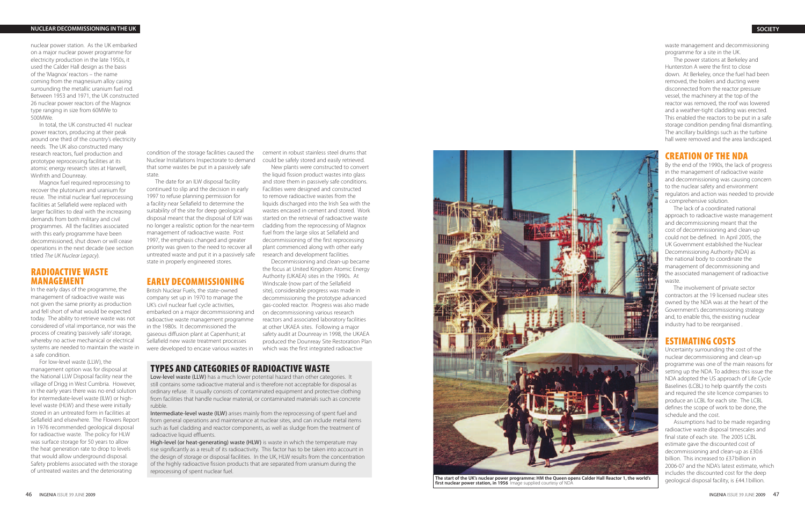waste management and decommissioning programme for a site in the UK.

The power stations at Berkeley and Hunterston A were the first to close down. At Berkeley, once the fuel had been removed, the boilers and ducting were disconnected from the reactor pressure vessel, the machinery at the top of the reactor was removed, the roof was lowered and a weather-tight cladding was erected. This enabled the reactors to be put in a safe storage condition pending final dismantling. The ancillary buildings such as the turbine hall were removed and the area landscaped.

# **CREATION OF THE NDA**

By the end of the 1990s, the lack of progress in the management of radioactive waste and decommissioning was causing concern to the nuclear safety and environment regulators and action was needed to provide a comprehensive solution.

The lack of a coordinated national approach to radioactive waste management and decommissioning meant that the cost of decommissioning and clean-up could not be defined. In April 2005, the UK Government established the Nuclear Decommissioning Authority (NDA) as the national body to coordinate the management of decommissioning and the associated management of radioactive waste.

The involvement of private sector contractors at the 19 licensed nuclear sites owned by the NDA was at the heart of the Government's decommissioning strategy and, to enable this, the existing nuclear industry had to be reorganised .

### **ESTIMATING COSTS**

Uncertainty surrounding the cost of the nuclear decommissioning and clean-up programme was one of the main reasons for setting up the NDA. To address this issue the NDA adopted the US approach of Life Cycle Baselines (LCBL) to help quantify the costs and required the site licence companies to produce an LCBL for each site. The LCBL defines the scope of work to be done, the schedule and the cost.

Assumptions had to be made regarding radioactive waste disposal timescales and final state of each site. The 2005 LCBL estimate gave the discounted cost of decommissioning and clean-up as £30.6 billion. This increased to £37billion in 2006-07 and the NDA's latest estimate, which includes the discounted cost for the deep

nuclear power station. As the UK embarked on a major nuclear power programme for electricity production in the late 1950s, it used the Calder Hall design as the basis of the 'Magnox' reactors – the name coming from the magnesium alloy casing surrounding the metallic uranium fuel rod. Between 1953 and 1971, the UK constructed 26 nuclear power reactors of the Magnox type ranging in size from 60MWe to 500MWe.

In total, the UK constructed 41 nuclear power reactors, producing at their peak around one third of the country's electricity needs. The UK also constructed many research reactors, fuel production and prototype reprocessing facilities at its atomic energy research sites at Harwell, Winfrith and Dounreay.

> Low-level waste (LLW) has a much lower potential hazard than other categories. It still contains some radioactive material and is therefore not acceptable for disposal as ordinary refuse. It usually consists of contaminated equipment and protective clothing from facilities that handle nuclear material, or contaminated materials such as concrete rubble.

> Intermediate-level waste (ILW) arises mainly from the reprocessing of spent fuel and from general operations and maintenance at nuclear sites, and can include metal items such as fuel cladding and reactor components, as well as sludge from the treatment of radioactive liquid effluents.

Magnox fuel required reprocessing to recover the plutonium and uranium for reuse. The initial nuclear fuel reprocessing facilities at Sellafield were replaced with larger facilities to deal with the increasing demands from both military and civil programmes. All the facilities associated with this early programme have been decommissioned, shut down or will cease operations in the next decade (see section titled The UK Nuclear Legacy).

#### **RADIOACTIVE WASTE MANAGEMENT**

In the early days of the programme, the management of radioactive waste was not given the same priority as production and fell short of what would be expected today. The ability to retrieve waste was not considered of vital importance, nor was the process of creating 'passively safe' storage, whereby no active mechanical or electrical systems are needed to maintain the waste in a safe condition.

For low-level waste (LLW), the management option was for disposal at the National LLW Disposal facility near the village of Drigg in West Cumbria. However, in the early years there was no end solution for intermediate-level waste (ILW) or highlevel waste (HLW) and these were initially stored in an untreated form in facilities at Sellafield and elsewhere. The Flowers Report in 1976 recommended geological disposal for radioactive waste. The policy for HLW was surface storage for 50 years to allow the heat generation rate to drop to levels that would allow underground disposal. Safety problems associated with the storage of untreated wastes and the deteriorating

condition of the storage facilities caused the Nuclear Installations Inspectorate to demand that some wastes be put in a passively safe state.

The date for an ILW disposal facility continued to slip and the decision in early 1997 to refuse planning permission for a facility near Sellafield to determine the suitability of the site for deep geological disposal meant that the disposal of ILW was no longer a realistic option for the near-term management of radioactive waste. Post 1997, the emphasis changed and greater priority was given to the need to recover all untreated waste and put it in a passively safe state in properly engineered stores.

### **EARLY DECOMMISSIONING**

British Nuclear Fuels, the state-owned company set up in 1970 to manage the UK's civil nuclear fuel cycle activities, embarked on a major decommissioning and radioactive waste management programme in the 1980s. It decommissioned the gaseous diffusion plant at Capenhurst; at Sellafield new waste treatment processes were developed to encase various wastes in

### **TYPES AND CATEGORIES OF RADIOACTIVE WASTE**

High-level (or heat-generating) waste (HLW) is waste in which the temperature may rise significantly as a result of its radioactivity. This factor has to be taken into account in the design of storage or disposal facilities. In the UK, HLW results from the concentration of the highly radioactive fission products that are separated from uranium during the reprocessing of spent nuclear fuel.



The start of the UK's nuclear power programme: HM the Queen opens Calder Hall Reactor 1, the world's geological disposal facility, is £44.1 billion.<br>first nuclear power station, in 1956 Image supplied courtesy of NDA

cement in robust stainless steel drums that could be safely stored and easily retrieved.

New plants were constructed to convert the liquid fission product wastes into glass and store them in passively safe conditions. Facilities were designed and constructed to remove radioactive wastes from the liquids discharged into the Irish Sea with the wastes encased in cement and stored. Work started on the retrieval of radioactive waste cladding from the reprocessing of Magnox fuel from the large silos at Sellafield and decommissioning of the first reprocessing plant commenced along with other early research and development facilities.

Decommissioning and clean-up became the focus at United Kingdom Atomic Energy Authority (UKAEA) sites in the 1990s. At Windscale (now part of the Sellafield site), considerable progress was made in decommissioning the prototype advanced gas-cooled reactor. Progress was also made on decommissioning various research reactors and associated laboratory facilities at other UKAEA sites. Following a major safety audit at Dounreay in 1998, the UKAEA produced the Dounreay Site Restoration Plan which was the first integrated radioactive

#### **NUCLEAR DECOMMISSIONING IN THE UK SOCIETY**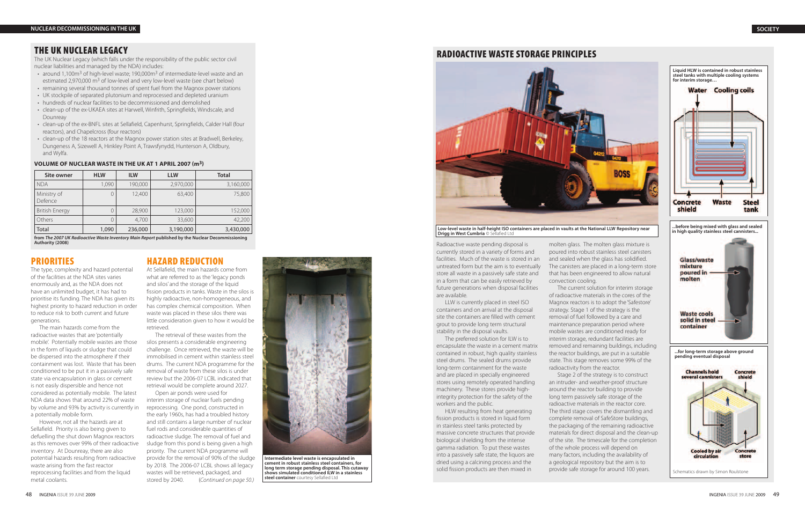## **RADIOACTIVE WASTE STORAGE PRINCIPLES**



Radioactive waste pending disposal is currently stored in a variety of forms and facilities. Much of the waste is stored in an untreated form but the aim is to eventually store all waste in a passively safe state and in a form that can be easily retrieved by future generations when disposal facilities are available.

LLW is currently placed in steel ISO containers and on arrival at the disposal site the containers are filled with cement grout to provide long term structural stability in the disposal vaults.

The preferred solution for ILW is to encapsulate the waste in a cement matrix contained in robust, high quality stainless steel drums. The sealed drums provide long-term containment for the waste and are placed in specially engineered stores using remotely operated handling machinery. These stores provide highintegrity protection for the safety of the workers and the public.

HLW resulting from heat generating fission products is stored in liquid form in stainless steel tanks protected by massive concrete structures that provide biological shielding from the intense gamma radiation. To put these wastes into a passively safe state, the liquors are dried using a calcining process and the solid fission products are then mixed in

molten glass. The molten glass mixture is poured into robust stainless steel canisters and sealed when the glass has solidified. The canisters are placed in a long-term store that has been engineered to allow natural convection cooling.

The current solution for interim storage of radioactive materials in the cores of the Magnox reactors is to adopt the 'Safestore' strategy. Stage 1 of the strategy is the removal of fuel followed by a care and maintenance preparation period where mobile wastes are conditioned ready for interim storage, redundant facilities are removed and remaining buildings, including the reactor buildings, are put in a suitable state. This stage removes some 99% of the radioactivity from the reactor.

Stage 2 of the strategy is to construct an intruder- and weather-proof structure around the reactor building to provide long term passively safe storage of the radioactive materials in the reactor core. The third stage covers the dismantling and complete removal of SafeStore buildings, the packaging of the remaining radioactive materials for direct disposal and the clean-up of the site. The timescale for the completion of the whole process will depend on many factors, including the availability of a geological repository but the aim is to provide safe storage for around 100 years.

Open air ponds were used for interim storage of nuclear fuels pending reprocessing. One pond, constructed in the early 1960s, has had a troubled history and still contains a large number of nuclear fuel rods and considerable quantities of radioactive sludge. The removal of fuel and sludge from this pond is being given a high priority. The current NDA programme will provide for the removal of 90% of the sludge by 2018. The 2006-07 LCBL shows all legacy wastes will be retrieved, packaged, and stored by 2040. (Continued on page 50.)

**Low-level waste in half-height ISO containers are placed in vaults at the National LLW Repository near** 

# **Drigg in West Cumbria** © Sellafied Ltd



#### **PRIORITIES**

- around 1,100m<sup>3</sup> of high-level waste; 190,000m<sup>3</sup> of intermediate-level waste and an estimated 2,970,000 m<sup>3</sup> of low-level and very low-level waste (see chart below)
- remaining several thousand tonnes of spent fuel from the Magnox power stations
- UK stockpile of separated plutonium and reprocessed and depleted uranium
- hundreds of nuclear facilities to be decommissioned and demolished
- clean-up of the ex-UKAEA sites at Harwell, Winfrith, Springfields, Windscale, and Dounreay
- clean-up of the ex-BNFL sites at Sellafield, Capenhurst, Springfields, Calder Hall (four reactors), and Chapelcross (four reactors)
- clean-up of the 18 reactors at the Magnox power station sites at Bradwell, Berkeley, Dungeness A, Sizewell A, Hinkley Point A, Trawsfynydd, Hunterson A, Oldbury, and Wylfa.

#### VOLUME OF NUCLEAR WASTE IN THE UK AT 1 APRIL 2007 (m<sup>3</sup>)

The type, complexity and hazard potential of the facilities at the NDA sites varies enormously and, as the NDA does not have an unlimited budget, it has had to prioritise its funding. The NDA has given its highest priority to hazard reduction in order to reduce risk to both current and future generations.

The main hazards come from the radioactive wastes that are 'potentially mobile'. Potentially mobile wastes are those in the form of liquids or sludge that could be dispersed into the atmosphere if their containment was lost. Waste that has been conditioned to be put it in a passively safe state via encapsulation in glass or cement is not easily dispersible and hence not considered as potentially mobile. The latest NDA data shows that around 22% of waste by volume and 93% by activity is currently in a potentially mobile form.

However, not all the hazards are at Sellafield. Priority is also being given to defuelling the shut down Magnox reactors as this removes over 99% of their radioactive inventory. At Dounreay, there are also potential hazards resulting from radioactive waste arising from the fast reactor reprocessing facilities and from the liquid metal coolants.

# **HAZARD REDUCTION**

At Sellafield, the main hazards come from what are referred to as the 'legacy ponds and silos' and the storage of the liquid fission products in tanks. Waste in the silos is highly radioactive, non-homogeneous, and has complex chemical composition. When waste was placed in these silos there was little consideration given to how it would be retrieved.

The retrieval of these wastes from the silos presents a considerable engineering challenge. Once retrieved, the waste will be immobilised in cement within stainless steel drums. The current NDA programme for the removal of waste from these silos is under review but the 2006-07 LCBL indicated that retrieval would be complete around 2027.

# **THE UK NUCLEAR LEGACY**

The UK Nuclear Legacy (which falls under the responsibility of the public sector civil nuclear liabilities and managed by the NDA) includes:

| Site owner             | <b>HLW</b> | <b>ILW</b> | <b>LLW</b> | <b>Total</b> |
|------------------------|------------|------------|------------|--------------|
| <b>NDA</b>             | 1,090      | 190,000    | 2,970,000  | 3,160,000    |
| Ministry of<br>Defence | $\Omega$   | 12,400     | 63,400     | 75,800       |
| <b>British Energy</b>  |            | 28,900     | 123,000    | 152,000      |
| Others                 | $\Omega$   | 4,700      | 33,600     | 42,200       |
| Total                  | 1,090      | 236,000    | 3,190,000  | 3,430,000    |

**from** *The 2007 UK Radioactive Waste Inventory Main Report* **published by the Nuclear Decommissioning Authority (2008)**



**Intermediate level waste is encapsulated in cement in robust stainless steel containers, for long term storage pending disposal. This cutaway shows simulated conditioned ILW in a stainless steel container** courtesy Sellafied Ltd